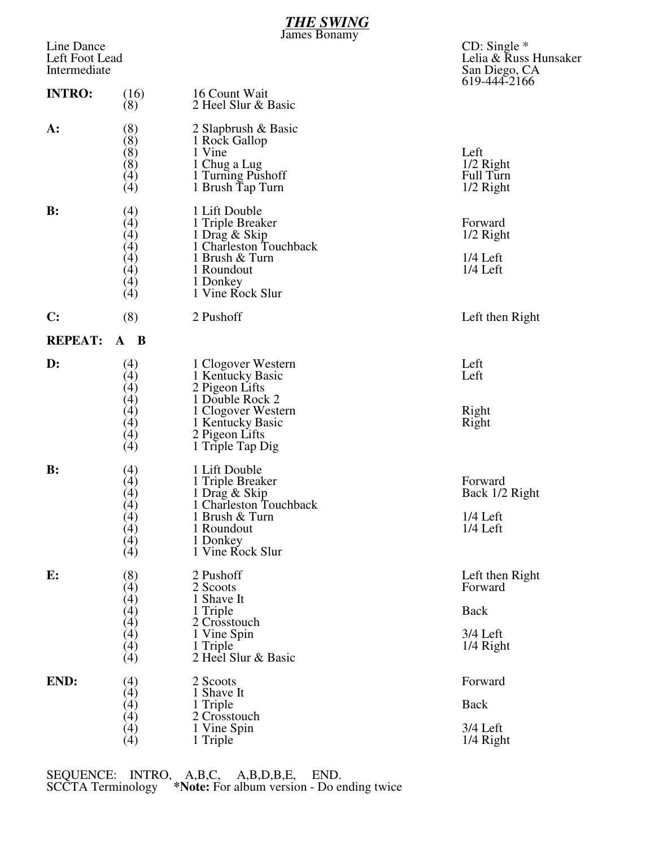|                                              |                                                          | <u>THE SWING</u><br><b>James Bonamy</b>                                                                                                                     |                                                                          |
|----------------------------------------------|----------------------------------------------------------|-------------------------------------------------------------------------------------------------------------------------------------------------------------|--------------------------------------------------------------------------|
| Line Dance<br>Left Foot Lead<br>Intermediate |                                                          |                                                                                                                                                             | CD: Single $*$<br>Lelia & Russ Hunsaker<br>San Diego, CA<br>619-444-2166 |
| <b>INTRO:</b>                                | (16)<br>(8)                                              | 16 Count Wait<br>2 Heel Slur & Basic                                                                                                                        |                                                                          |
| A:                                           | (8)<br>(8)<br>(8)<br>(8)<br>(4)<br>(4)                   | 2 Slapbrush & Basic<br>1 Rock Gallop<br>1 Vine<br>1 Chug a Lug<br>1 Turning Pushoff<br>1 Brush Tap Turn                                                     | Left<br>$1/2$ Right<br>Full Turn<br>$1/2$ Right                          |
| B:                                           | (4)<br>(4)<br>(4)<br>(4)<br>(4)<br>(4)<br>(4)<br>(4)     | 1 Lift Double<br>1 Triple Breaker<br>1 Drag & Skip<br>1 Charleston Touchback<br>1 Brush & Turn<br>1 Roundout<br>1 Donkey<br>1 Vine Rock Slur                | Forward<br>$1/2$ Right<br>$1/4$ Left<br>$1/4$ Left                       |
| C:                                           | (8)                                                      | 2 Pushoff                                                                                                                                                   | Left then Right                                                          |
| <b>REPEAT:</b>                               | $\mathbf{B}$<br>$\mathbf{A}$                             |                                                                                                                                                             |                                                                          |
| $\mathbf{D}$ :                               | (4)<br>(4)<br>(4)<br>(4)<br>$\binom{4}{4}$<br>(4)<br>(4) | 1 Clogover Western<br>1 Kentucky Basic<br>2 Pigeon Lifts<br>1 Double Rock 2<br>1 Clogover Western<br>1 Kentucky Basic<br>2 Pigeon Lifts<br>1 Triple Tap Dig | Left<br>Left<br>Right<br>Right                                           |
| $\mathbf{B}$ :                               | (4)<br>(4)<br>$\binom{4}{4}$<br>(4)<br>(4)<br>(4)<br>(4) | 1 Lift Double<br>1 Triple Breaker<br>1 Drag & Skip<br>1 Charleston Touchback<br>1 Brush & Turn<br>1 Roundout<br>1 Donkey<br>1 Vine Rock Slur                | Forward<br>Back 1/2 Right<br>$1/4$ Left<br>$1/4$ Left                    |
| E:                                           | (8)<br>(4)<br>(4)<br>(4)                                 | 2 Pushoff<br>2 Scoots<br>1 Shave It<br>1 Triple<br>2 Crosstouch                                                                                             | Left then Right<br>Forward<br><b>Back</b>                                |
|                                              | (4)<br>(4)<br>(4)<br>(4)                                 | 1 Vine Spin<br>1 Triple<br>2 Heel Slur & Basic                                                                                                              | 3/4 Left<br>1/4 Right                                                    |
| END:                                         | (4)<br>(4)                                               | 2 Scoots<br>1 Shave It                                                                                                                                      | Forward                                                                  |
|                                              | (4)<br>(4)                                               | 1 Triple<br>2 Crosstouch                                                                                                                                    | <b>Back</b>                                                              |
|                                              | (4)<br>$\lambda(4)$                                      | 1 Vine Spin<br>1 Triple                                                                                                                                     | 3/4 Left<br>1/4 Right                                                    |